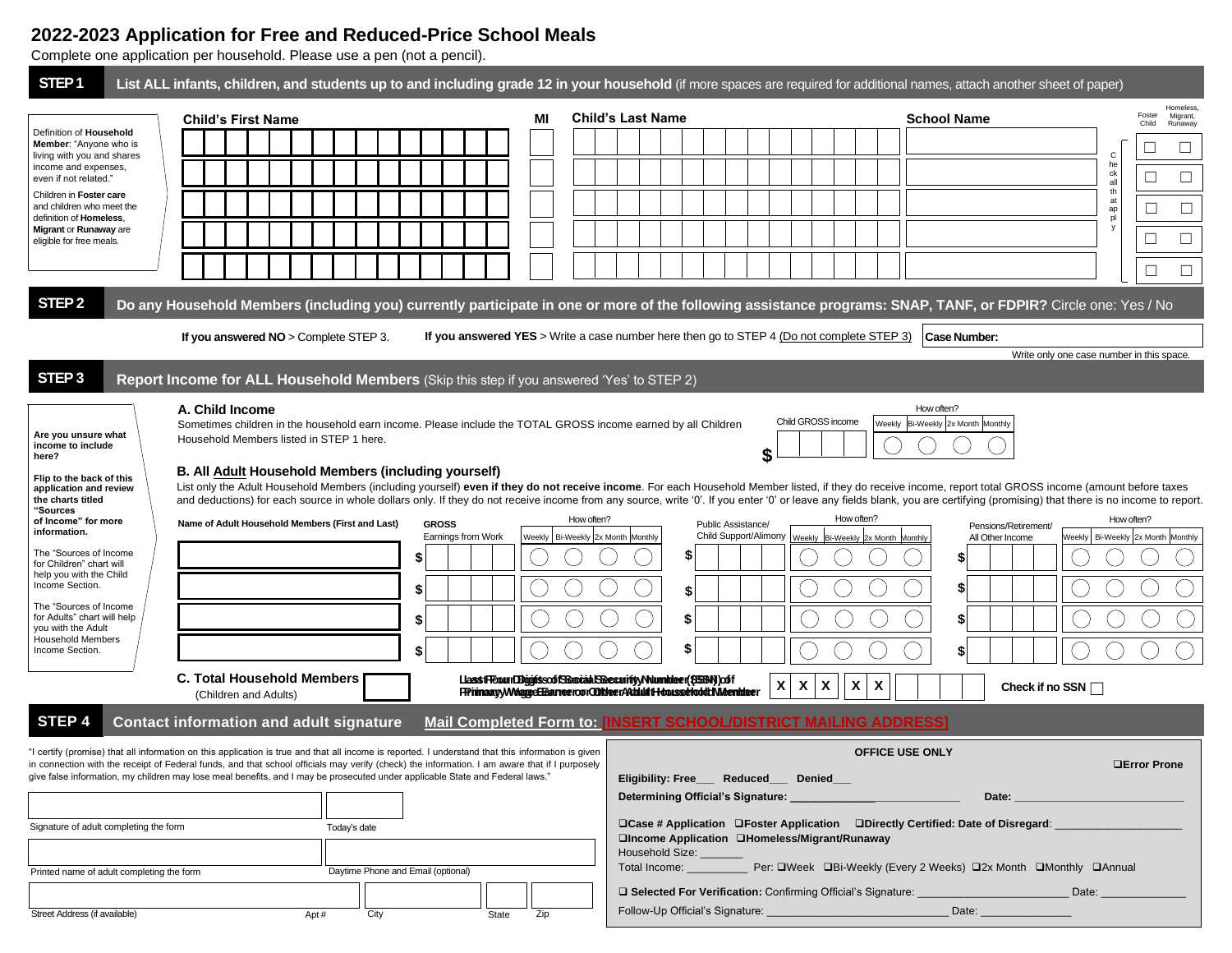# **2022-2023 Application for Free and Reduced-Price School Meals**

Complete one application per household. Please use a pen (not a pencil).

| STEP <sub>1</sub>                                                                                                                                                                                                                                                                                                                                                                                                                    | List ALL infants, children, and students up to and including grade 12 in your household (if more spaces are required for additional names, attach another sheet of paper)                                                                                                                                                                                                                                                                                                                                                                                                                                                                                                                                                                                                    |                                                                                                                |                                                                                                                                                                        |                                                                                                                                                                                                             |                                                                                               |  |  |
|--------------------------------------------------------------------------------------------------------------------------------------------------------------------------------------------------------------------------------------------------------------------------------------------------------------------------------------------------------------------------------------------------------------------------------------|------------------------------------------------------------------------------------------------------------------------------------------------------------------------------------------------------------------------------------------------------------------------------------------------------------------------------------------------------------------------------------------------------------------------------------------------------------------------------------------------------------------------------------------------------------------------------------------------------------------------------------------------------------------------------------------------------------------------------------------------------------------------------|----------------------------------------------------------------------------------------------------------------|------------------------------------------------------------------------------------------------------------------------------------------------------------------------|-------------------------------------------------------------------------------------------------------------------------------------------------------------------------------------------------------------|-----------------------------------------------------------------------------------------------|--|--|
| Definition of <b>Household</b><br><b>Member:</b> "Anyone who is<br>living with you and shares<br>income and expenses,<br>even if not related."<br>Children in Foster care<br>and children who meet the<br>definition of Homeless,<br>Migrant or Runaway are<br>eligible for free meals.                                                                                                                                              | <b>Child's First Name</b>                                                                                                                                                                                                                                                                                                                                                                                                                                                                                                                                                                                                                                                                                                                                                    | MI                                                                                                             | <b>Child's Last Name</b>                                                                                                                                               | <b>School Name</b>                                                                                                                                                                                          | Homeless<br>Foster<br>Migrant,<br>Child<br>Runaway                                            |  |  |
|                                                                                                                                                                                                                                                                                                                                                                                                                                      |                                                                                                                                                                                                                                                                                                                                                                                                                                                                                                                                                                                                                                                                                                                                                                              |                                                                                                                |                                                                                                                                                                        |                                                                                                                                                                                                             | ⊔<br>C                                                                                        |  |  |
|                                                                                                                                                                                                                                                                                                                                                                                                                                      |                                                                                                                                                                                                                                                                                                                                                                                                                                                                                                                                                                                                                                                                                                                                                                              |                                                                                                                |                                                                                                                                                                        |                                                                                                                                                                                                             | he<br>ck<br>$\Box$<br>all                                                                     |  |  |
|                                                                                                                                                                                                                                                                                                                                                                                                                                      |                                                                                                                                                                                                                                                                                                                                                                                                                                                                                                                                                                                                                                                                                                                                                                              |                                                                                                                |                                                                                                                                                                        |                                                                                                                                                                                                             | th<br>at<br>$\Box$<br>$\Box$<br>ap                                                            |  |  |
|                                                                                                                                                                                                                                                                                                                                                                                                                                      |                                                                                                                                                                                                                                                                                                                                                                                                                                                                                                                                                                                                                                                                                                                                                                              |                                                                                                                |                                                                                                                                                                        |                                                                                                                                                                                                             | pl<br>y<br>⊔                                                                                  |  |  |
|                                                                                                                                                                                                                                                                                                                                                                                                                                      |                                                                                                                                                                                                                                                                                                                                                                                                                                                                                                                                                                                                                                                                                                                                                                              |                                                                                                                |                                                                                                                                                                        |                                                                                                                                                                                                             |                                                                                               |  |  |
|                                                                                                                                                                                                                                                                                                                                                                                                                                      |                                                                                                                                                                                                                                                                                                                                                                                                                                                                                                                                                                                                                                                                                                                                                                              |                                                                                                                |                                                                                                                                                                        |                                                                                                                                                                                                             | $\Box$<br>$\Box$                                                                              |  |  |
| STEP <sub>2</sub>                                                                                                                                                                                                                                                                                                                                                                                                                    | Do any Household Members (including you) currently participate in one or more of the following assistance programs: SNAP, TANF, or FDPIR? Circle one: Yes / No                                                                                                                                                                                                                                                                                                                                                                                                                                                                                                                                                                                                               |                                                                                                                |                                                                                                                                                                        |                                                                                                                                                                                                             |                                                                                               |  |  |
|                                                                                                                                                                                                                                                                                                                                                                                                                                      | If you answered NO > Complete STEP 3.                                                                                                                                                                                                                                                                                                                                                                                                                                                                                                                                                                                                                                                                                                                                        |                                                                                                                | If you answered YES > Write a case number here then go to STEP 4 (Do not complete STEP 3)                                                                              | Case Number:                                                                                                                                                                                                | Write only one case number in this space.                                                     |  |  |
| STEP <sub>3</sub>                                                                                                                                                                                                                                                                                                                                                                                                                    | Report Income for ALL Household Members (Skip this step if you answered 'Yes' to STEP 2)                                                                                                                                                                                                                                                                                                                                                                                                                                                                                                                                                                                                                                                                                     |                                                                                                                |                                                                                                                                                                        |                                                                                                                                                                                                             |                                                                                               |  |  |
| Are you unsure what<br>income to include<br>here?<br>Flip to the back of this<br>application and review<br>the charts titled<br>"Sources<br>of Income" for more<br>information.<br>The "Sources of Income<br>for Children" chart will<br>help you with the Child<br>Income Section.<br>The "Sources of Income<br>for Adults" chart will help<br>you with the Adult<br>Household Members<br>Income Section.                           | A. Child Income<br>Sometimes children in the household earn income. Please include the TOTAL GROSS income earned by all Children<br>Household Members listed in STEP 1 here.<br>B. All Adult Household Members (including yourself)<br>List only the Adult Household Members (including yourself) even if they do not receive income. For each Household Member listed, if they do receive income, report total GROSS income (amount before taxes<br>and deductions) for each source in whole dollars only. If they do not receive income from any source, write '0'. If you enter '0' or leave any fields blank, you are certifying (promising) that there is no income to report.<br>Name of Adult Household Members (First and Last)<br><b>C. Total Household Members</b> | How often?<br><b>GROSS</b><br>Earnings from Work<br>Weekly   Bi-Weekly 2x Month Monthly<br>S<br>\$<br>\$<br>\$ | Public Assistance/<br>\$<br>\$<br>\$<br>\$<br>LlasstFloom DigipissoffSBoxialdSBecurity/Numbleer(\$559A) off<br>X                                                       | How often?<br>Child GROSS income<br>Weekly Bi-Weekly 2x Month Monthly<br>How often?<br>Child Support/Alimony   Weekly   Bi-Weekly   2x Month Monthly<br>\$<br>\$<br>\$<br>\$<br>$\pmb{\chi}$<br>X<br>X<br>X | How often?<br>Pensions/Retirement/<br>Weekly   Bi-Weekly 2x Month Monthly<br>All Other Income |  |  |
|                                                                                                                                                                                                                                                                                                                                                                                                                                      | (Children and Adults)                                                                                                                                                                                                                                                                                                                                                                                                                                                                                                                                                                                                                                                                                                                                                        |                                                                                                                | FPininaary/WeappeEEaaneeroorODtheerAkbluitHooussehoodtMeenhieer                                                                                                        |                                                                                                                                                                                                             | Check if no SSN                                                                               |  |  |
| STEP <sub>4</sub><br><b>Contact information and adult signature</b><br><b>Mail Completed Form to: [INSERT SCHOOL/DISTRICT MAILING ADDRESS]</b>                                                                                                                                                                                                                                                                                       |                                                                                                                                                                                                                                                                                                                                                                                                                                                                                                                                                                                                                                                                                                                                                                              |                                                                                                                |                                                                                                                                                                        |                                                                                                                                                                                                             |                                                                                               |  |  |
| "I certify (promise) that all information on this application is true and that all income is reported. I understand that this information is given<br>in connection with the receipt of Federal funds, and that school officials may verify (check) the information. I am aware that if I purposely<br>give false information, my children may lose meal benefits, and I may be prosecuted under applicable State and Federal laws." |                                                                                                                                                                                                                                                                                                                                                                                                                                                                                                                                                                                                                                                                                                                                                                              |                                                                                                                | Eligibility: Free___ Reduced__ Denied__                                                                                                                                | OFFICE USE ONLY                                                                                                                                                                                             | <b>OError Prone</b><br>Date:                                                                  |  |  |
| Signature of adult completing the form                                                                                                                                                                                                                                                                                                                                                                                               | Today's date                                                                                                                                                                                                                                                                                                                                                                                                                                                                                                                                                                                                                                                                                                                                                                 |                                                                                                                | Household Size: ____                                                                                                                                                   | □Case # Application □Foster Application □Directly Certified: Date of Disregard:<br>□Income Application □Homeless/Migrant/Runaway                                                                            |                                                                                               |  |  |
| Daytime Phone and Email (optional)<br>Printed name of adult completing the form                                                                                                                                                                                                                                                                                                                                                      |                                                                                                                                                                                                                                                                                                                                                                                                                                                                                                                                                                                                                                                                                                                                                                              |                                                                                                                | Total Income: __________<br>Per: □Week □Bi-Weekly (Every 2 Weeks) □2x Month □Monthly □Annual<br>□ Selected For Verification: Confirming Official's Signature:<br>Date: |                                                                                                                                                                                                             |                                                                                               |  |  |
| Street Address (if available)<br>City<br>Zip<br>Apt#<br>State                                                                                                                                                                                                                                                                                                                                                                        |                                                                                                                                                                                                                                                                                                                                                                                                                                                                                                                                                                                                                                                                                                                                                                              |                                                                                                                | Follow-Up Official's Signature:                                                                                                                                        | Date: $\_\$                                                                                                                                                                                                 |                                                                                               |  |  |